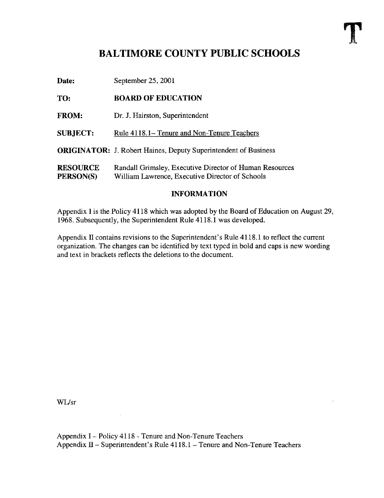## BALTIMORE COUNTY PUBLIC SCHOOLS

Date: September 25, 2001

## TO: BOARD OF EDUCATION

FROM: Dr. J. Hairston, Superintendent

SUBJECT: Rule 4118.1– Tenure and Non-Tenure Teachers

ORIGINATOR: J. Robert Haines, Deputy Superintendent of Business

RESOURCE Randall Grimsley, Executive Director of Human Resources<br>PERSON(S) William Lawrence, Executive Director of Schools William Lawrence, Executive Director of Schools

## INFORMATION

Appendix <sup>I</sup> is the Policy 4118 which was adopted by the Board of Education on August 29, 1968. Subsequently, the Superintendent Rule 4118.1 was developed.

Appendix II contains revisions to the Superintendent's Rule 4118 .1 to reflect the current organization. The changes can be identified by text typed in bold and caps is new wording and text in brackets reflects the deletions to the document.

WUsr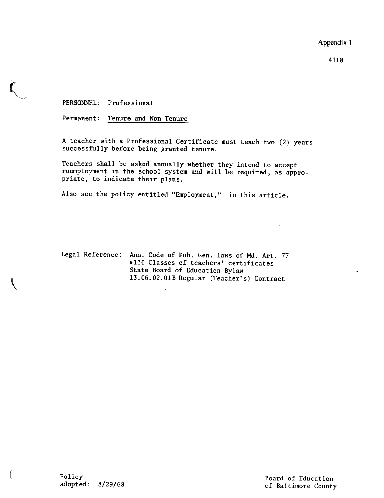Appendix <sup>1</sup>

4118

PERSONNEL: Professional

Permanent: Tenure and Non-Tenure

A teacher with a Professional Certificate must teach two (2) years successfully before being granted tenure.

Teachers shall be asked annually whether they intend to accept reemployment in the school system and will be required, as appropriate, to indicate their plans.

Also see the policy entitled "Employment," in this article .

Legal Reference: Ann. Code of Pub. Gen. Laws of Md. Art. 77 #110 Classes of teachers' certificates State Board of Education Bylaw 13 .06 .02 .018 Regular (Teacher's) Contract

Policy Board of Education

of Baltimore County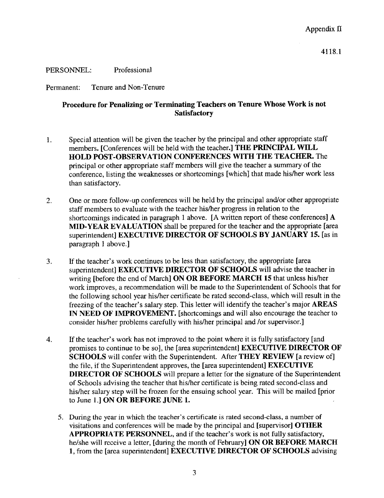PERSONNEL: Professional

Permanent: Tenure and Non-Tenure

## Procedure for Penalizing or Terminating Teachers on Tenure Whose Work is not **Satisfactory**

- <sup>1</sup> . Special attention will be given the teacher by the principal and other appropriate staff members. [Conferences will be held with the teacher.] THE PRINCIPAL WILL HOLD POST-OBSERVATION CONFERENCES WITH THE TEACHER. The principal or other appropriate staff members will give the teacher a summary of the conference, listing the weaknesses or shortcomings [which] that made his/her work less than satisfactory.
- 2. One or more follow-up conferences will be held by the principal and/or other appropriate staff members to evaluate with the teacher his/her progress in relation to the shortcomings indicated in paragraph <sup>1</sup> above. [A written report of these conferences] A MID-YEAR EVALUATION shall be prepared for the teacher and the appropriate [area superintendent] EXECUTIVE DIRECTOR OF SCHOOLS BY JANUARY 15. [as in paragraph <sup>1</sup> above.]
- <sup>3</sup> . If the teacher's work continues to be less than satisfactory, the appropriate [area superintendent] EXECUTIVE DIRECTOR OF SCHOOLS will advise the teacher in writing [before the end of March] ON OR BEFORE MARCH 15 that unless his/her work improves, a recommendation will be made to the Superintendent of Schools that for the following school year his/her certificate be rated second-class, which will result in the freezing of the teacher's salary step. This letter will identify the teacher's major AREAS IN NEED OF IMPROVEMENT. [shortcomings and will also encourage the teacher to consider his/her problems carefully with his/her principal and /or supervisor.]
- 4. If the teacher's work has not improved to the point where it is fully satisfactory [and promises to continue to be so], the [area superintendent] EXECUTIVE DIRECTOR OF SCHOOLS will confer with the Superintendent. After THEY REVIEW [a review of] the file, if the Superintendent approves, the [area superintendent] EXECUTIVE DIRECTOR OF SCHOOLS will prepare <sup>a</sup> letter for the signature of the Superintendent of Schools advising the teacher that his/her certificate is being rated second-class and his/her salary step will be frozen for the ensuing school year. This will be mailed [prior to June 1.] ON OR BEFORE JUNE 1.
	- 5. During the year in which the teacher's certificate is rated second-class, a number of visitations and conferences will be made by the principal and [supervisor] OTHER APPROPRIATE PERSONNEL, and if the teacher's work is not fully satisfactory, he/she will receive a letter, [during the month of February] ON OR BEFORE MARCH 1, from the [area superintendent] EXECUTIVE DIRECTOR OF SCHOOLS advising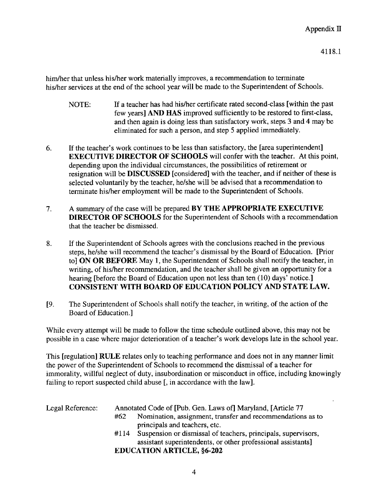him/her that unless his/her work materially improves, a recommendation to terminate his/her services at the end of the school year will be made to the Superintendent of Schools.

- NOTE: If a teacher has had his/her certificate rated second-class [within the past few years] AND HAS improved sufficiently to be restored to first-class, and then again is doing less than satisfactory work, steps 3 and 4 may be eliminated for such a person, and step 5 applied immediately.
- 6 . If the teacher's work continues to be less than satisfactory, the [area superintendent] EXECUTIVE DIRECTOR OF SCHOOLS will confer with the teacher. At this point, depending upon the individual circumstances, the possibilities of retirement or resignation will be DISCUSSED [considered] with the teacher, and if neither of these is selected voluntarily by the teacher, he/she will be advised that a recommendation to terminate his/her employment will be made to the Superintendent of Schools.
- 7. A summary of the case will be prepared BY THE APPROPRIATE EXECUTIVE DIRECTOR OF SCHOOLS for the Superintendent of Schools with <sup>a</sup> recommendation that the teacher be dismissed.
- 8 . If the Superintendent of Schools agrees with the conclusions reached in the previous steps, he/she will recommend the teacher's dismissal by the Board of Education . [Prior to] ON OR BEFORE May 1, the Superintendent of Schools shall notify the teacher, in writing, of his/her recommendation, and the teacher shall be given an opportunity for a hearing [before the Board of Education upon not less than ten (10) days' notice.] CONSISTENT WITH BOARD OF EDUCATION POLICY AND STATE LAW.
- [9 . The Superintendent of Schools shall notify the teacher, in writing, of the action of the Board of Education .]

While every attempt will be made to follow the time schedule outlined above, this may not be possible in a case where major deterioration of a teacher's work develops late in the school year.

This [regulation] RULE relates only to teaching performance and does not in any manner limit the power of the Superintendent of Schools to recommend the dismissal of a teacher for immorality, willful neglect of duty, insubordination or misconduct in office, including knowingly failing to report suspected child abuse [, in accordance with the law].

| Legal Reference: | Annotated Code of [Pub. Gen. Laws of] Maryland, [Article 77 |                                                               |
|------------------|-------------------------------------------------------------|---------------------------------------------------------------|
|                  | #62                                                         | Nomination, assignment, transfer and recommendations as to    |
|                  |                                                             | principals and teachers, etc.                                 |
|                  | #114                                                        | Suspension or dismissal of teachers, principals, supervisors, |
|                  |                                                             | assistant superintendents, or other professional assistants]  |
|                  |                                                             | <b>EDUCATION ARTICLE, §6-202</b>                              |
|                  |                                                             |                                                               |